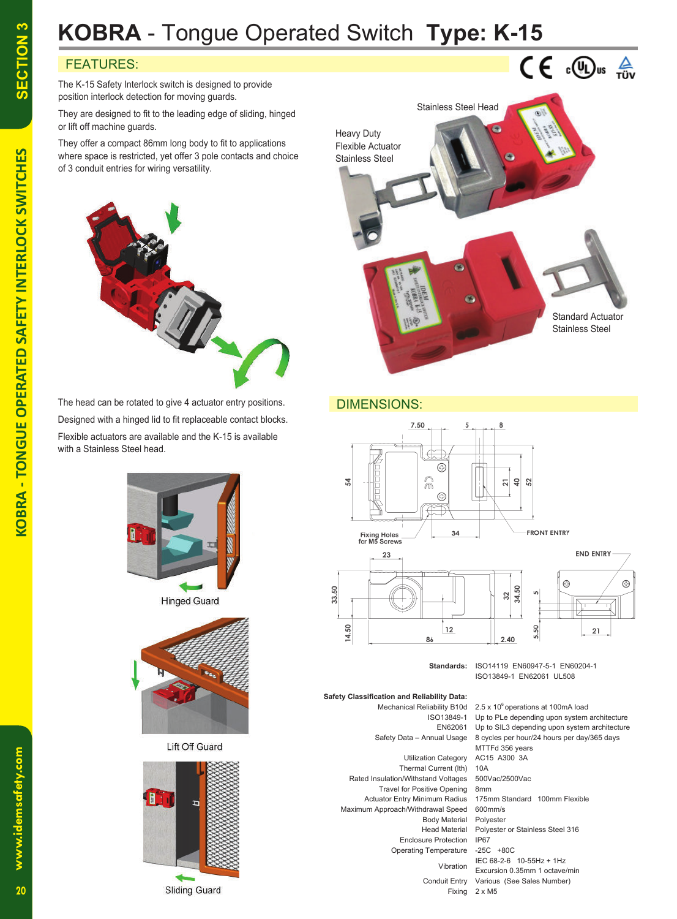# **KOBRA** - Tongue Operated Switch **Type: K-15**

## FEATURES:

The K-15 Safety Interlock switch is designed to provide position interlock detection for moving guards.

They are designed to fit to the leading edge of sliding, hinged or lift off machine guards.

They offer a compact 86mm long body to fit to applications where space is restricted, yet offer 3 pole contacts and choice of 3 conduit entries for wiring versatility.



The head can be rotated to give 4 actuator entry positions. Designed with a hinged lid to fit replaceable contact blocks.

Flexible actuators are available and the K-15 is available with a Stainless Steel head.



**Hinged Guard** 



Lift Off Guard





### DIMENSIONS:



**Standards:** ISO14119 EN60947-5-1 EN60204-1 ISO13849-1 EN62061 UL508

 **Safety Classification and Reliability Data:** Mechanical Reliability B10d 2.5 x 10<sup>6</sup> operations at 100mA load ISO13849-1 Up to PLe depending upon system architecture EN62061 Up to SIL3 depending upon system architecture Safety Data – Annual Usage 8 cycles per hour/24 hours per day/365 days Utilization Category AC15 A300 3A Thermal Current (lth) 10A Rated Insulation/Withstand Voltages 500Vac/2500Vac Travel for Positive Opening 8mm Maximum Approach/Withdrawal Speed 600mm/s Body Material Polyester Enclosure Protection IP67 Operating Temperature -25C +80C

 Actuator Entry Minimum Radius 175mm Standard 100mm Flexible Head Material Polyester or Stainless Steel 316 IEC  $68-2-6$  10-55Hz + 1Hz<br>Vibration Evernise 0.35mm 1.00000 Excursion 0.35mm 1 octave/min Conduit Entry Various (See Sales Number) Fixing 2 x M5

MTTFd 356 years

**SECTION 3**